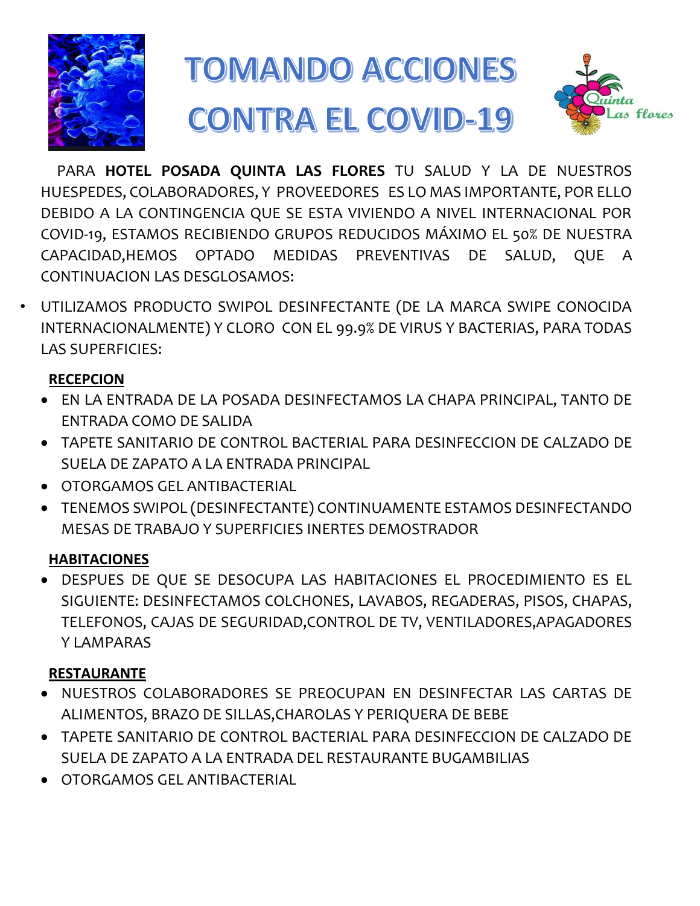

# **TOMANDO ACCIONES CONTRA EL COVID-19**



PARA **HOTEL POSADA QUINTA LAS FLORES** TU SALUD Y LA DE NUESTROS HUESPEDES, COLABORADORES, Y PROVEEDORES ES LO MAS IMPORTANTE, POR ELLO DEBIDO A LA CONTINGENCIA QUE SE ESTA VIVIENDO A NIVEL INTERNACIONAL POR COVID-19, ESTAMOS RECIBIENDO GRUPOS REDUCIDOS MÁXIMO EL 50% DE NUESTRA CAPACIDAD,HEMOS OPTADO MEDIDAS PREVENTIVAS DE SALUD, QUE A CONTINUACION LAS DESGLOSAMOS:

• UTILIZAMOS PRODUCTO SWIPOL DESINFECTANTE (DE LA MARCA SWIPE CONOCIDA INTERNACIONALMENTE) Y CLORO CON EL 99.9% DE VIRUS Y BACTERIAS, PARA TODAS LAS SUPERFICIES:

## **RECEPCION**

- EN LA ENTRADA DE LA POSADA DESINFECTAMOS LA CHAPA PRINCIPAL, TANTO DE ENTRADA COMO DE SALIDA
- TAPETE SANITARIO DE CONTROL BACTERIAL PARA DESINFECCION DE CALZADO DE SUELA DE ZAPATO A LA ENTRADA PRINCIPAL
- OTORGAMOS GEL ANTIBACTERIAL
- TENEMOS SWIPOL (DESINFECTANTE) CONTINUAMENTE ESTAMOS DESINFECTANDO MESAS DE TRABAJO Y SUPERFICIES INERTES DEMOSTRADOR

#### **HABITACIONES**

 DESPUES DE QUE SE DESOCUPA LAS HABITACIONES EL PROCEDIMIENTO ES EL SIGUIENTE: DESINFECTAMOS COLCHONES, LAVABOS, REGADERAS, PISOS, CHAPAS, TELEFONOS, CAJAS DE SEGURIDAD,CONTROL DE TV, VENTILADORES,APAGADORES **Y LAMPARAS** 

## **RESTAURANTE**

- NUESTROS COLABORADORES SE PREOCUPAN EN DESINFECTAR LAS CARTAS DE ALIMENTOS, BRAZO DE SILLAS,CHAROLAS Y PERIQUERA DE BEBE
- TAPETE SANITARIO DE CONTROL BACTERIAL PARA DESINFECCION DE CALZADO DE SUELA DE ZAPATO A LA ENTRADA DEL RESTAURANTE BUGAMBILIAS
- OTORGAMOS GEL ANTIBACTERIAL